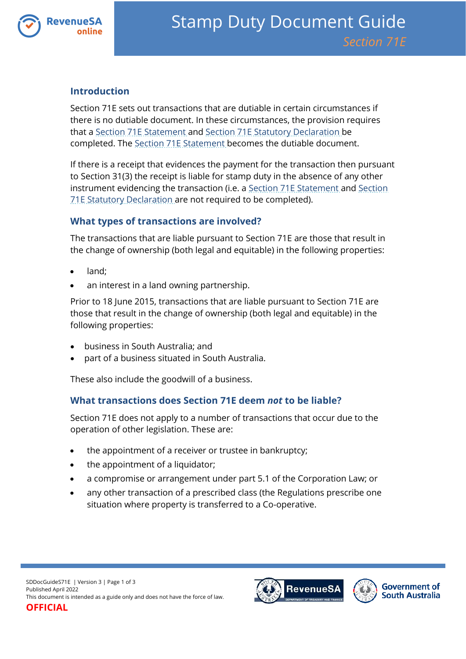

# **Introduction**

Section 71E sets out transactions that are dutiable in certain circumstances if there is no dutiable document. In these circumstances, the provision requires that a [Section 71E Statement](https://www.revenuesa.sa.gov.au/stampduty/forms-and-publications/pdf-forms/71e-statement-pdf) an[d Section 71E Statutory Declaration](https://www.revenuesa.sa.gov.au/stampduty/forms-and-publications/pdf-forms/71e-declaration-pdf) be completed. The [Section 71E Statement](https://www.revenuesa.sa.gov.au/stampduty/forms-and-publications/pdf-forms/71e-statement-pdf) becomes the dutiable document.

If there is a receipt that evidences the payment for the transaction then pursuant to Section 31(3) the receipt is liable for stamp duty in the absence of any other instrument evidencing the transaction (i.e. a [Section 71E Statement](https://www.revenuesa.sa.gov.au/stampduty/forms-and-publications/pdf-forms/71e-statement-pdf) and [Section](https://www.revenuesa.sa.gov.au/stampduty/forms-and-publications/pdf-forms/71e-declaration-pdf)  [71E Statutory Declaration](https://www.revenuesa.sa.gov.au/stampduty/forms-and-publications/pdf-forms/71e-declaration-pdf) are not required to be completed).

## **What types of transactions are involved?**

The transactions that are liable pursuant to Section 71E are those that result in the change of ownership (both legal and equitable) in the following properties:

- land;
- an interest in a land owning partnership.

Prior to 18 June 2015, transactions that are liable pursuant to Section 71E are those that result in the change of ownership (both legal and equitable) in the following properties:

- business in South Australia; and
- part of a business situated in South Australia.

These also include the goodwill of a business.

### **What transactions does Section 71E deem** *not* **to be liable?**

Section 71E does not apply to a number of transactions that occur due to the operation of other legislation. These are:

- the appointment of a receiver or trustee in bankruptcy;
- the appointment of a liquidator;
- a compromise or arrangement under part 5.1 of the Corporation Law; or
- any other transaction of a prescribed class (the Regulations prescribe one situation where property is transferred to a Co-operative.

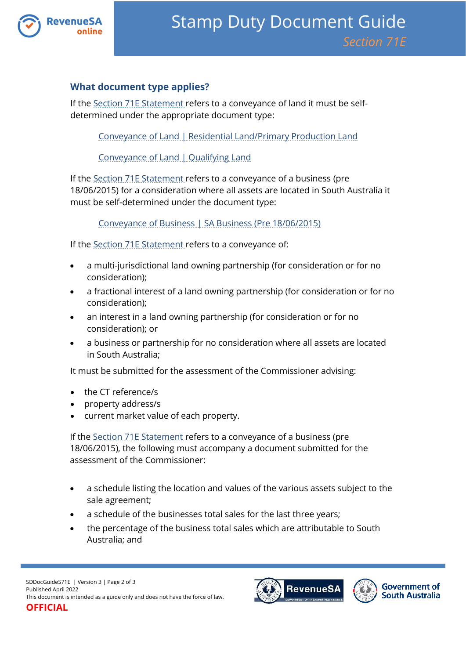

## **What document type applies?**

If the [Section 71E Statement](https://www.revenuesa.sa.gov.au/stampduty/forms-and-publications/pdf-forms/71e-statement-pdf) refers to a conveyance of land it must be selfdetermined under the appropriate document type:

[Conveyance of Land | Residential Land/Primary Production Land](https://www.revenuesa.sa.gov.au/stampduty/stamp-duty-document-guide/self-determined/conveyance-of-land/sddgsd_cl_rpp)

[Conveyance of Land | Qualifying Land](https://www.revenuesa.sa.gov.au/stampduty/stamp-duty-document-guide/self-determined/conveyance-of-land/sddgsd_cl_ql)

If the [Section 71E Statement](http://www.revenuesa.sa.gov.au/__data/assets/file/0004/6781/71estatement.pdf) refers to a conveyance of a business (pre 18/06/2015) for a consideration where all assets are located in South Australia it must be self-determined under the document type:

[Conveyance of Business | SA Business \(Pre 18/06/2015\)](https://www.revenuesa.sa.gov.au/stampduty/stamp-duty-document-guide/self-determined/conveyance-of-business/sddgsd_cb_bus)

If the [Section 71E Statement](https://www.revenuesa.sa.gov.au/stampduty/forms-and-publications/pdf-forms/71e-statement-pdf) refers to a conveyance of:

- a multi-jurisdictional land owning partnership (for consideration or for no consideration);
- a fractional interest of a land owning partnership (for consideration or for no consideration);
- an interest in a land owning partnership (for consideration or for no consideration); or
- a business or partnership for no consideration where all assets are located in South Australia;

It must be submitted for the assessment of the Commissioner advising:

- the CT reference/s
- property address/s
- current market value of each property.

If the [Section 71E Statement](https://www.revenuesa.sa.gov.au/stampduty/forms-and-publications/pdf-forms/71e-statement-pdf) refers to a conveyance of a business (pre 18/06/2015), the following must accompany a document submitted for the assessment of the Commissioner:

- a schedule listing the location and values of the various assets subject to the sale agreement;
- a schedule of the businesses total sales for the last three years;
- the percentage of the business total sales which are attributable to South Australia; and